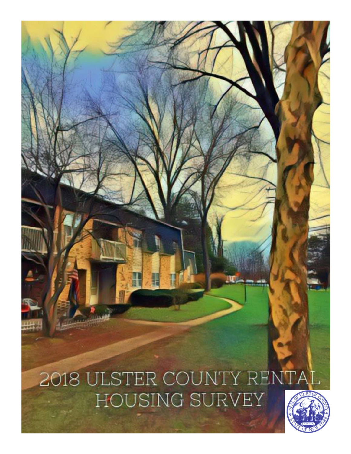# 2018 ULSTER COUNTY RENTA HOUSING SURVEY

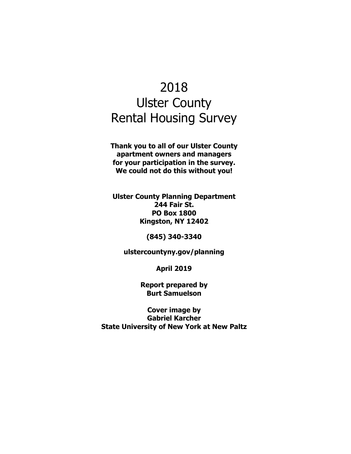# 2018 Ulster County Rental Housing Survey

**Thank you to all of our Ulster County apartment owners and managers for your participation in the survey. We could not do this without you!** 

**Ulster County Planning Department 244 Fair St. PO Box 1800 Kingston, NY 12402** 

**(845) 340-3340** 

**ulstercountyny.gov/planning** 

**April 2019** 

**Report prepared by Burt Samuelson** 

**Cover image by Gabriel Karcher State University of New York at New Paltz**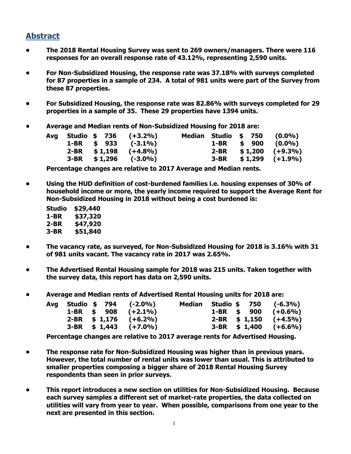### **Abstract**

- **The 2018 Rental Housing Survey was sent to 269 owners/managers. There were 116 responses for an overall response rate of 43.12%, representing 2,590 units.**
- **For Non-Subsidized Housing, the response rate was 37.18% with surveys completed for 87 properties in a sample of 234. A total of 981 units were part of the Survey from these 87 properties.**
- **For Subsidized Housing, the response rate was 82.86% with surveys completed for 29 properties in a sample of 35. These 29 properties have 1394 units.**
- **Average and Median rents of Non-Subsidized Housing for 2018 are:**

|  | Avg Studio \$ 736 (+3.2%) |  | Median Studio \$ 750 (0.0%) |
|--|---------------------------|--|-----------------------------|
|  | 1-BR \$ 933 $(-3.1\%)$    |  | $1-BR$ \$ 900 (0.0%)        |
|  | $2-BR$ \$1,198 $(+4.8\%)$ |  | $2-BR$ \$1,200 (+9.3%)      |
|  | $3-BR$ \$1,296 (-3.0%)    |  | $3-BR$ \$1,299 $(+1.9\%)$   |

**Percentage changes are relative to 2017 Average and Median rents.** 

- **Using the HUD definition of cost-burdened families i.e. housing expenses of 30% of household income or more, the yearly income required to support the Average Rent for Non-Subsidized Housing in 2018 without being a cost burdened is:** 
	- **Studio \$29,440 1-BR \$37,320 2-BR \$47,920 3-BR \$51,840**
- **The vacancy rate, as surveyed, for Non-Subsidized Housing for 2018 is 3.16% with 31 of 981 units vacant. The vacancy rate in 2017 was 2.65%.**
- **The Advertised Rental Housing sample for 2018 was 215 units. Taken together with the survey data, this report has data on 2,590 units.**
- **Average and Median rents of Advertised Rental Housing units for 2018 are:**

|  |  | Avg Studio \$ 794 (-2.0%)  |  |  | Median Studio \$ 750 (-6.3%) |
|--|--|----------------------------|--|--|------------------------------|
|  |  | 1-BR \$ 908 $(+2.1\%)$     |  |  | 1-BR \$ 900 $(+0.6\%)$       |
|  |  | $2-BR$ \$ 1,176 $(+6.2\%)$ |  |  | $2-BR$ \$ 1,150 $(+4.5\%)$   |
|  |  | $3-BR$ \$ 1,443 (+7.0%)    |  |  | $3-BR$ \$ 1,400 $(+6.6\%)$   |

**Percentage changes are relative to 2017 average rents for Advertised Housing.** 

- **The response rate for Non-Subsidized Housing was higher than in previous years. However, the total number of rental units was lower than usual. This is attributed to smaller properties composing a bigger share of 2018 Rental Housing Survey respondents than seen in prior surveys.**
- **This report introduces a new section on utilities for Non-Subsidized Housing. Because each survey samples a different set of market-rate properties, the data collected on utilities will vary from year to year. When possible, comparisons from one year to the next are presented in this section.**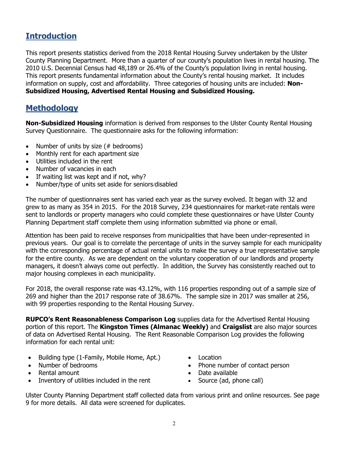#### **Introduction**

This report presents statistics derived from the 2018 Rental Housing Survey undertaken by the Ulster County Planning Department. More than a quarter of our county's population lives in rental housing. The 2010 U.S. Decennial Census had 48,189 or 26.4% of the County's population living in rental housing. This report presents fundamental information about the County's rental housing market. It includes information on supply, cost and affordability. Three categories of housing units are included: **Non-Subsidized Housing, Advertised Rental Housing and Subsidized Housing.** 

#### **Methodology**

**Non-Subsidized Housing** information is derived from responses to the Ulster County Rental Housing Survey Questionnaire. The questionnaire asks for the following information:

- Number of units by size  $(#$  bedrooms)
- Monthly rent for each apartment size
- Utilities included in the rent
- Number of vacancies in each
- If waiting list was kept and if not, why?
- Number/type of units set aside for seniors/disabled

The number of questionnaires sent has varied each year as the survey evolved. It began with 32 and grew to as many as 354 in 2015. For the 2018 Survey, 234 questionnaires for market-rate rentals were sent to landlords or property managers who could complete these questionnaires or have Ulster County Planning Department staff complete them using information submitted via phone or email.

Attention has been paid to receive responses from municipalities that have been under-represented in previous years. Our goal is to correlate the percentage of units in the survey sample for each municipality with the corresponding percentage of actual rental units to make the survey a true representative sample for the entire county. As we are dependent on the voluntary cooperation of our landlords and property managers, it doesn't always come out perfectly. In addition, the Survey has consistently reached out to major housing complexes in each municipality.

For 2018, the overall response rate was 43.12%, with 116 properties responding out of a sample size of 269 and higher than the 2017 response rate of 38.67%. The sample size in 2017 was smaller at 256, with 99 properties responding to the Rental Housing Survey.

**RUPCO's Rent Reasonableness Comparison Log** supplies data for the Advertised Rental Housing portion of this report. The **Kingston Times (Almanac Weekly)** and **Craigslist** are also major sources of data on Advertised Rental Housing. The Rent Reasonable Comparison Log provides the following information for each rental unit:

- Building type (1-Family, Mobile Home, Apt.)
- Number of bedrooms
- Rental amount
- Inventory of utilities included in the rent
- Location
- Phone number of contact person
- Date available
- Source (ad, phone call)

Ulster County Planning Department staff collected data from various print and online resources. See page 9 for more details. All data were screened for duplicates.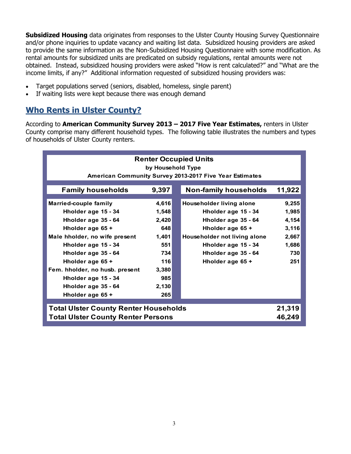**Subsidized Housing** data originates from responses to the Ulster County Housing Survey Questionnaire and/or phone inquiries to update vacancy and waiting list data. Subsidized housing providers are asked to provide the same information as the Non-Subsidized Housing Questionnaire with some modification. As rental amounts for subsidized units are predicated on subsidy regulations, rental amounts were not obtained. Instead, subsidized housing providers were asked "How is rent calculated?" and "What are the income limits, if any?" Additional information requested of subsidized housing providers was:

- Target populations served (seniors, disabled, homeless, single parent)
- If waiting lists were kept because there was enough demand

## **Who Rents in Ulster County?**

According to **American Community Survey 2013 – 2017 Five Year Estimates,** renters in Ulster County comprise many different household types. The following table illustrates the numbers and types of households of Ulster County renters.

| <b>Renter Occupied Units</b><br>by Household Type<br>American Community Survey 2013-2017 Five Year Estimates |        |  |                              |        |  |  |  |  |  |  |
|--------------------------------------------------------------------------------------------------------------|--------|--|------------------------------|--------|--|--|--|--|--|--|
| <b>Family households</b>                                                                                     | 9,397  |  | <b>Non-family households</b> | 11,922 |  |  |  |  |  |  |
| <b>Married-couple family</b>                                                                                 | 4,616  |  | Householder living alone     | 9,255  |  |  |  |  |  |  |
| Hholder age 15 - 34                                                                                          | 1,548  |  | Hholder age 15 - 34          | 1,985  |  |  |  |  |  |  |
| Hholder age 35 - 64                                                                                          | 2,420  |  | Hholder age 35 - 64          | 4,154  |  |  |  |  |  |  |
| Hholder age 65 +                                                                                             | 648    |  | Hholder age 65 +             | 3,116  |  |  |  |  |  |  |
| Male hholder, no wife present                                                                                | 1,401  |  | Householder not living alone | 2,667  |  |  |  |  |  |  |
| Hholder age 15 - 34                                                                                          | 551    |  | Hholder age 15 - 34          | 1,686  |  |  |  |  |  |  |
| Hholder age 35 - 64                                                                                          | 734    |  | Hholder age 35 - 64          | 730    |  |  |  |  |  |  |
| Hholder age 65 +                                                                                             | 116    |  | Hholder age 65 +             | 251    |  |  |  |  |  |  |
| Fem. hholder, no husb. present                                                                               | 3,380  |  |                              |        |  |  |  |  |  |  |
| Hholder age 15 - 34                                                                                          | 985    |  |                              |        |  |  |  |  |  |  |
| Hholder age 35 - 64                                                                                          | 2,130  |  |                              |        |  |  |  |  |  |  |
| Hholder age 65 +                                                                                             | 265    |  |                              |        |  |  |  |  |  |  |
|                                                                                                              | 21,319 |  |                              |        |  |  |  |  |  |  |
| <b>Total Ulster County Renter Households</b><br><b>Total Ulster County Renter Persons</b><br>46,249          |        |  |                              |        |  |  |  |  |  |  |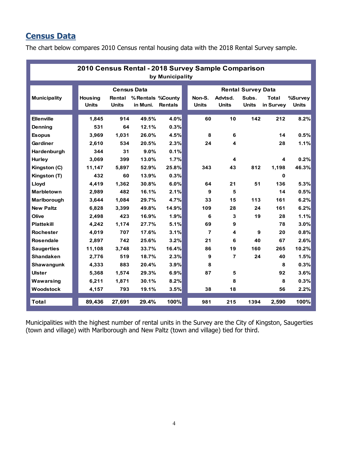# **Census Data**

The chart below compares 2010 Census rental housing data with the 2018 Rental Survey sample.

| 2010 Census Rental - 2018 Survey Sample Comparison<br>by Municipality |  |                |                    |                    |                |  |                |                |                           |              |              |  |
|-----------------------------------------------------------------------|--|----------------|--------------------|--------------------|----------------|--|----------------|----------------|---------------------------|--------------|--------------|--|
|                                                                       |  |                | <b>Census Data</b> |                    |                |  |                |                | <b>Rental Survey Data</b> |              |              |  |
| <b>Municipality</b>                                                   |  | <b>Housing</b> | Rental             | % Rentals % County |                |  | Non-S.         | Advtsd.        | Subs.                     | <b>Total</b> | %Survey      |  |
|                                                                       |  | <b>Units</b>   | <b>Units</b>       | in Muni.           | <b>Rentals</b> |  | <b>Units</b>   | Units          | <b>Units</b>              | in Survey    | <b>Units</b> |  |
| <b>Ellenville</b>                                                     |  |                | 914                |                    | 4.0%           |  | 60             |                | 142                       |              | 8.2%         |  |
|                                                                       |  | 1,845          |                    | 49.5%              |                |  |                | 10             |                           | 212          |              |  |
| Denning                                                               |  | 531            | 64                 | 12.1%              | 0.3%           |  |                |                |                           |              |              |  |
| <b>Esopus</b>                                                         |  | 3.969          | 1,031              | 26.0%              | 4.5%           |  | 8              | 6              |                           | 14           | 0.5%         |  |
| Gardiner                                                              |  | 2.610          | 534                | 20.5%              | 2.3%           |  | 24             | 4              |                           | 28           | 1.1%         |  |
| Hardenburgh                                                           |  | 344            | 31                 | 9.0%               | 0.1%           |  |                |                |                           |              |              |  |
| Hurley                                                                |  | 3.069          | 399                | 13.0%              | 1.7%           |  |                | 4              |                           | 4            | 0.2%         |  |
| Kingston (C)                                                          |  | 11.147         | 5.897              | 52.9%              | 25.8%          |  | 343            | 43             | 812                       | 1,198        | 46.3%        |  |
| Kingston (T)                                                          |  | 432            | 60                 | 13.9%              | 0.3%           |  |                |                |                           | 0            |              |  |
| Lloyd                                                                 |  | 4.419          | 1.362              | 30.8%              | 6.0%           |  | 64             | 21             | 51                        | 136          | 5.3%         |  |
| <b>Marbletown</b>                                                     |  | 2.989          | 482                | 16.1%              | 2.1%           |  | 9              | 5              |                           | 14           | 0.5%         |  |
| Marlborough                                                           |  | 3.644          | 1,084              | 29.7%              | 4.7%           |  | 33             | 15             | 113                       | 161          | 6.2%         |  |
| <b>New Paltz</b>                                                      |  | 6,828          | 3,399              | 49.8%              | 14.9%          |  | 109            | 28             | 24                        | 161          | 6.2%         |  |
| Olive                                                                 |  | 2,498          | 423                | 16.9%              | 1.9%           |  | 6              | 3              | 19                        | 28           | 1.1%         |  |
| <b>Plattekill</b>                                                     |  | 4,242          | 1,174              | 27.7%              | 5.1%           |  | 69             | 9              |                           | 78           | 3.0%         |  |
| <b>Rochester</b>                                                      |  | 4,019          | 707                | 17.6%              | 3.1%           |  | $\overline{7}$ | 4              | 9                         | 20           | 0.8%         |  |
| <b>Rosendale</b>                                                      |  | 2,897          | 742                | 25.6%              | 3.2%           |  | 21             | 6              | 40                        | 67           | 2.6%         |  |
| <b>Saugerties</b>                                                     |  | 11,108         | 3,748              | 33.7%              | 16.4%          |  | 86             | 19             | 160                       | 265          | 10.2%        |  |
| <b>Shandaken</b>                                                      |  | 2,776          | 519                | 18.7%              | 2.3%           |  | 9              | $\overline{7}$ | 24                        | 40           | 1.5%         |  |
| Shawangunk                                                            |  | 4,333          | 883                | 20.4%              | 3.9%           |  | 8              |                |                           | 8            | 0.3%         |  |
| <b>Ulster</b>                                                         |  | 5,368          | 1,574              | 29.3%              | 6.9%           |  | 87             | 5              |                           | 92           | 3.6%         |  |
| Wawarsing                                                             |  | 6,211          | 1,871              | 30.1%              | 8.2%           |  |                | 8              |                           | 8            | 0.3%         |  |
| Woodstock                                                             |  | 4,157          | 793                | 19.1%              | 3.5%           |  | 38             | 18             |                           | 56           | 2.2%         |  |
| <b>Total</b>                                                          |  | 89,436         | 27,691             | 29.4%              | 100%           |  | 981            | 215            | 1394                      | 2.590        | 100%         |  |

Municipalities with the highest number of rental units in the Survey are the City of Kingston, Saugerties (town and village) with Marlborough and New Paltz (town and village) tied for third.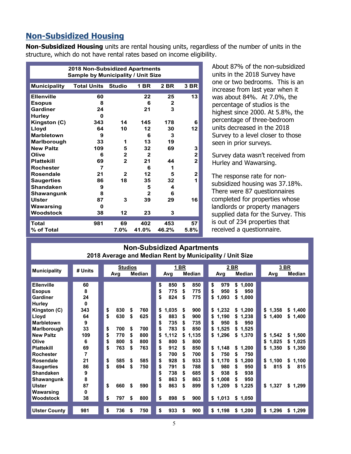#### **Non-Subsidized Housing**

**Non-Subsidized Housing** units are rental housing units, regardless of the number of units in the structure, which do not have rental rates based on income eligibility.

|                     | <b>2018 Non-Subsidized Apartments</b><br><b>Sample by Municipality / Unit Size</b> |                |              |       |              |  |  |  |  |  |  |  |
|---------------------|------------------------------------------------------------------------------------|----------------|--------------|-------|--------------|--|--|--|--|--|--|--|
| <b>Municipality</b> | <b>Total Units</b>                                                                 | <b>Studio</b>  | 1 BR         | 2 BR  | 3 BR         |  |  |  |  |  |  |  |
| <b>Ellenville</b>   | 60                                                                                 |                | 22           | 25    | 13           |  |  |  |  |  |  |  |
| <b>Esopus</b>       | 8                                                                                  |                | 6            | 2     |              |  |  |  |  |  |  |  |
| Gardiner            | 24                                                                                 |                | 21           | 3     |              |  |  |  |  |  |  |  |
| <b>Hurley</b>       | 0                                                                                  |                |              |       |              |  |  |  |  |  |  |  |
| Kingston (C)        | 343                                                                                | 14             | 145          | 178   | 6            |  |  |  |  |  |  |  |
| Lloyd               | 64                                                                                 | 10             | 12           | 30    | 12           |  |  |  |  |  |  |  |
| <b>Marbletown</b>   | 9                                                                                  |                | 6            | 3     |              |  |  |  |  |  |  |  |
| Marlborough         | 33                                                                                 | 1              | 13           | 19    |              |  |  |  |  |  |  |  |
| <b>New Paltz</b>    | 109                                                                                | 5              | 32           | 69    | 3            |  |  |  |  |  |  |  |
| Olive               | 6                                                                                  | $\overline{2}$ | $\mathbf{2}$ |       | $\mathbf{2}$ |  |  |  |  |  |  |  |
| <b>Plattekill</b>   | 69                                                                                 | $\overline{2}$ | 21           | 44    | $\mathbf{2}$ |  |  |  |  |  |  |  |
| <b>Rochester</b>    | 7                                                                                  |                | 6            | 1     |              |  |  |  |  |  |  |  |
| <b>Rosendale</b>    | 21                                                                                 | $\mathbf{2}$   | 12           | 5     | 2            |  |  |  |  |  |  |  |
| <b>Saugerties</b>   | 86                                                                                 | 18             | 35           | 32    | 1            |  |  |  |  |  |  |  |
| <b>Shandaken</b>    | 9                                                                                  |                | 5            | 4     |              |  |  |  |  |  |  |  |
| Shawangunk          | 8                                                                                  |                | $\mathbf{2}$ | 6     |              |  |  |  |  |  |  |  |
| <b>Ulster</b>       | 87                                                                                 | 3              | 39           | 29    | 16           |  |  |  |  |  |  |  |
| Wawarsing           | 0                                                                                  |                |              |       |              |  |  |  |  |  |  |  |
| <b>Woodstock</b>    | 38                                                                                 | 12             | 23           | 3     |              |  |  |  |  |  |  |  |
| <b>Total</b>        |                                                                                    |                |              |       |              |  |  |  |  |  |  |  |
|                     | 981                                                                                | 69             | 402          | 453   | 57           |  |  |  |  |  |  |  |
| % of Total          |                                                                                    | 7.0%           | 41.0%        | 46.2% | 5.8%         |  |  |  |  |  |  |  |

About 87% of the non-subsidized units in the 2018 Survey have one or two bedrooms. This is an increase from last year when it was about 84%. At 7.0%, the percentage of studios is the highest since 2000. At 5.8%, the percentage of three-bedroom units decreased in the 2018 Survey to a level closer to those seen in prior surveys.

Survey data wasn't received from Hurley and Wawarsing.

The response rate for nonsubsidized housing was 37.18%. There were 87 questionnaires completed for properties whose landlords or property managers supplied data for the Survey. This is out of 234 properties that received a questionnaire.

| <b>Non-Subsidized Apartments</b><br>2018 Average and Median Rent by Municipality / Unit Size |                           |                |                   |                |                   |  |                                                    |                      |                            |  |                                                      |                                                        |          |                             |                               |
|----------------------------------------------------------------------------------------------|---------------------------|----------------|-------------------|----------------|-------------------|--|----------------------------------------------------|----------------------|----------------------------|--|------------------------------------------------------|--------------------------------------------------------|----------|-----------------------------|-------------------------------|
| <b>Municipality</b>                                                                          | # Units                   |                | Avg               | <b>Studios</b> | <b>Median</b>     |  | Avg                                                | <u>1 BR</u>          | Median                     |  | Avg                                                  | 2 BR<br>Median                                         |          | Avg                         | 3 BR<br>Median                |
| <b>Ellenville</b><br><b>Esopus</b><br>Gardiner<br><b>Hurley</b><br>Kingston (C)              | 60<br>8<br>24<br>0<br>343 | \$             | 830               | \$             | 760               |  | \$<br>850<br>\$<br>775<br>\$<br>824<br>\$<br>1,035 | \$<br>\$<br>\$<br>\$ | 850<br>775<br>775<br>900   |  | \$<br>979<br>\$<br>950<br>1,093<br>\$<br>\$1,232     | \$<br>1,000<br>950<br>\$<br>\$<br>1,000<br>1,200<br>\$ |          | \$1,358                     | 1,400<br>\$                   |
| Lloyd<br><b>Marbletown</b><br>Marlborough                                                    | 64<br>9<br>33             | \$<br>\$       | 630<br>700        | \$<br>\$       | 625<br>700        |  | 883<br>S<br>735<br>\$<br>783<br>\$                 | S<br>S<br>\$         | 900<br>735<br>850          |  | 1,190<br>\$<br>950<br>\$<br>1,525<br>\$              | 1,238<br>\$<br>950<br>\$<br>1,525<br>\$                |          | \$1,400                     | \$<br>1,400                   |
| <b>New Paltz</b><br>Olive<br><b>Plattekill</b><br><b>Rochester</b>                           | 109<br>6<br>69<br>7       | \$<br>\$<br>\$ | 770<br>800<br>763 | \$<br>\$<br>\$ | 800<br>800<br>763 |  | \$<br>1,112<br>800<br>\$<br>912<br>\$<br>700<br>\$ | S<br>\$<br>\$<br>\$  | 1,135<br>800<br>850<br>700 |  | 1,296<br>\$<br>\$<br>1,148<br>750<br>\$              | \$1,370<br>\$<br>1,200<br>750<br>\$                    | \$       | \$1,542<br>1,025<br>\$1,350 | \$1,500<br>\$1,025<br>\$1,350 |
| <b>Rosendale</b><br><b>Saugerties</b><br><b>Shandaken</b><br>Shawangunk                      | 21<br>86<br>9<br>8        | \$<br>\$       | 585<br>694        | \$<br>\$       | 585<br>750        |  | \$<br>928<br>\$<br>791<br>\$<br>738<br>\$<br>863   | \$<br>S<br>\$<br>\$  | 933<br>788<br>685<br>863   |  | 1,170<br>\$<br>980<br>\$<br>938<br>\$<br>1,008<br>\$ | \$<br>1,200<br>950<br>S<br>938<br>\$<br>950<br>S       | \$<br>\$ | 1,100<br>815                | 1,100<br>\$<br>815<br>\$      |
| <b>Ulster</b><br>Wawarsing<br>Woodstock                                                      | 87<br>0<br>38             | \$<br>\$       | 660<br>797        | -\$<br>\$      | 590<br>800        |  | \$<br>863<br>\$<br>898                             | S<br>\$              | 899<br>900                 |  | 1,209<br>\$<br>\$<br>1,013                           | \$<br>1,225<br>\$1,050                                 |          | \$1,327                     | \$1,299                       |
| <b>Ulster County</b>                                                                         | 981                       | \$             | 736               | \$             | 750               |  | \$<br>933                                          | \$                   | 900                        |  | \$1,198                                              | \$1,200                                                |          | \$1,296                     | \$<br>1,299                   |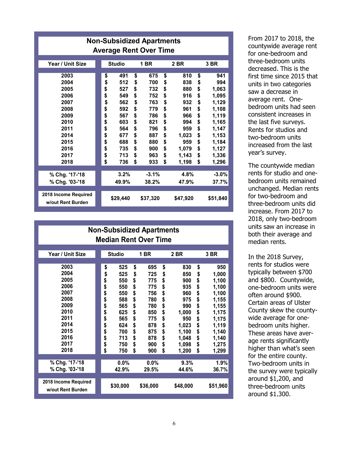| <b>Non-Subsidized Apartments</b><br><b>Average Rent Over Time</b>                                            |                                                                                  |                                                                                                |                                                                                  |                                                                                                |                                                                                  |                                                                                                        |                                                                                  |                                                                                                                        |  |  |  |
|--------------------------------------------------------------------------------------------------------------|----------------------------------------------------------------------------------|------------------------------------------------------------------------------------------------|----------------------------------------------------------------------------------|------------------------------------------------------------------------------------------------|----------------------------------------------------------------------------------|--------------------------------------------------------------------------------------------------------|----------------------------------------------------------------------------------|------------------------------------------------------------------------------------------------------------------------|--|--|--|
| Year / Unit Size                                                                                             |                                                                                  | <b>Studio</b>                                                                                  |                                                                                  | 1 BR                                                                                           |                                                                                  | 2 BR                                                                                                   |                                                                                  | 3 BR                                                                                                                   |  |  |  |
| 2003<br>2004<br>2005<br>2006<br>2007<br>2008<br>2009<br>2010<br>2011<br>2014<br>2015<br>2016<br>2017<br>2018 | \$<br>\$<br>\$<br>\$<br>\$<br>\$<br>\$<br>\$<br>\$<br>\$<br>\$<br>\$<br>\$<br>\$ | 491<br>512<br>527<br>549<br>562<br>592<br>567<br>603<br>564<br>677<br>688<br>735<br>713<br>736 | \$<br>\$<br>\$<br>\$<br>\$<br>\$<br>\$<br>\$<br>\$<br>\$<br>\$<br>\$<br>\$<br>\$ | 675<br>700<br>732<br>752<br>763<br>779<br>786<br>821<br>796<br>887<br>880<br>900<br>963<br>933 | \$<br>\$<br>\$<br>\$<br>\$<br>\$<br>\$<br>\$<br>\$<br>\$<br>\$<br>\$<br>\$<br>\$ | 810<br>838<br>880<br>916<br>932<br>961<br>966<br>994<br>959<br>1,023<br>959<br>1,079<br>1,143<br>1,198 | \$<br>\$<br>\$<br>\$<br>\$<br>\$<br>\$<br>\$<br>\$<br>\$<br>\$<br>\$<br>\$<br>\$ | 941<br>994<br>1,063<br>1,095<br>1,129<br>1,108<br>1,119<br>1,165<br>1,147<br>1,153<br>1,184<br>1,127<br>1,336<br>1,296 |  |  |  |
| % Chg. '17-'18<br>% Chg. '03-'18<br>2018 Income Required<br>w/out Rent Burden                                |                                                                                  | 3.2%<br>49.9%<br>\$29,440                                                                      |                                                                                  | $-3.1%$<br>38.2%<br>\$37,320                                                                   |                                                                                  | 4.8%<br>47.9%<br>\$47,920                                                                              |                                                                                  | $-3.0%$<br>37.7%<br>\$51,840                                                                                           |  |  |  |

| <b>Non-Subsidized Apartments</b><br><b>Median Rent Over Time</b>                                             |                                                                                  |                                                                                                |                                                                                  |                                                                                                |                                                                                  |                                                                                                            |                                                            |                                                                                                                          |  |  |  |
|--------------------------------------------------------------------------------------------------------------|----------------------------------------------------------------------------------|------------------------------------------------------------------------------------------------|----------------------------------------------------------------------------------|------------------------------------------------------------------------------------------------|----------------------------------------------------------------------------------|------------------------------------------------------------------------------------------------------------|------------------------------------------------------------|--------------------------------------------------------------------------------------------------------------------------|--|--|--|
| Year / Unit Size                                                                                             |                                                                                  | <b>Studio</b>                                                                                  |                                                                                  | 1 BR                                                                                           |                                                                                  | 2 BR                                                                                                       |                                                            | 3 BR                                                                                                                     |  |  |  |
| 2003<br>2004<br>2005<br>2006<br>2007<br>2008<br>2009<br>2010<br>2011<br>2014<br>2015<br>2016<br>2017<br>2018 | \$<br>\$<br>\$<br>\$<br>\$<br>\$<br>\$<br>\$<br>\$<br>\$<br>\$<br>\$<br>\$<br>\$ | 525<br>525<br>550<br>550<br>550<br>588<br>565<br>625<br>565<br>624<br>700<br>713<br>750<br>750 | \$<br>\$<br>\$<br>\$<br>\$<br>\$<br>\$<br>\$<br>\$<br>\$<br>\$<br>\$<br>\$<br>\$ | 695<br>725<br>775<br>775<br>756<br>780<br>780<br>850<br>775<br>878<br>875<br>878<br>900<br>900 | \$<br>\$<br>\$<br>\$<br>\$<br>\$<br>\$<br>\$<br>\$<br>\$<br>\$<br>\$<br>\$<br>\$ | 830<br>850<br>900<br>935<br>960<br>975<br>990<br>1,000<br>950<br>1,023<br>1,100<br>1,048<br>1,098<br>1,200 | \$<br>\$<br>\$<br>\$<br>\$<br>\$<br>\$\$<br>\$\$\$\$<br>\$ | 950<br>1,000<br>1,100<br>1,100<br>1,100<br>1,155<br>1,155<br>1,175<br>1,175<br>1,119<br>1,140<br>1,140<br>1,275<br>1,299 |  |  |  |
| % Chg. '17-'18<br>% Chg. '03-'18                                                                             |                                                                                  | 0.0%<br>42.9%                                                                                  |                                                                                  | 0.0%<br>29.5%                                                                                  |                                                                                  | 9.3%<br>44.6%                                                                                              |                                                            | 1.9%<br>36.7%                                                                                                            |  |  |  |
| 2018 Income Required<br>w/out Rent Burden                                                                    |                                                                                  | \$30,000                                                                                       |                                                                                  | \$36,000                                                                                       |                                                                                  | \$48,000                                                                                                   |                                                            | \$51,960                                                                                                                 |  |  |  |

From 2017 to 2018, the countywide average rent for one-bedroom and three-bedroom units decreased. This is the first time since 2015 that units in two categories saw a decrease in average rent. Onebedroom units had seen consistent increases in the last five surveys. Rents for studios and two-bedroom units increased from the last year's survey.

The countywide median rents for studio and onebedroom units remained unchanged. Median rents for two-bedroom and three-bedroom units did increase. From 2017 to 2018, only two-bedroom units saw an increase in both their average and median rents.

In the 2018 Survey, rents for studios were typically between \$700 and \$800. Countywide, one-bedroom units were often around \$900. Certain areas of Ulster County skew the countywide average for onebedroom units higher. These areas have average rents significantly higher than what's seen for the entire county. Two-bedroom units in the survey were typically around \$1,200, and three-bedroom units around \$1,300.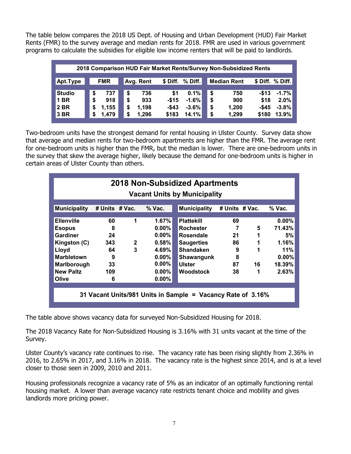The table below compares the 2018 US Dept. of Housing and Urban Development (HUD) Fair Market Rents (FMR) to the survey average and median rents for 2018. FMR are used in various government programs to calculate the subsidies for eligible low income renters that will be paid to landlords.

| 2018 Comparison HUD Fair Market Rents/Survey Non-Subsidized Rents |            |             |                    |                    |                     |  |  |  |  |  |  |
|-------------------------------------------------------------------|------------|-------------|--------------------|--------------------|---------------------|--|--|--|--|--|--|
|                                                                   |            |             |                    |                    |                     |  |  |  |  |  |  |
| Apt.Type                                                          | <b>FMR</b> | Avg. Rent   | \$ Diff. % Diff.   | <b>Median Rent</b> | \$ Diff. % Diff.    |  |  |  |  |  |  |
|                                                                   |            |             |                    |                    |                     |  |  |  |  |  |  |
| <b>Studio</b>                                                     | 737<br>S   | 736<br>\$   | 0.1%<br>\$1        | \$<br>750          | $-1.7%$<br>-\$13    |  |  |  |  |  |  |
| <b>1 BR</b>                                                       | 918<br>S   | 933<br>\$   | $-1.6%$<br>$-$15$  | \$<br>900          | 2.0%<br>\$18        |  |  |  |  |  |  |
| 2 BR                                                              | 1,155<br>5 | 1,198<br>\$ | $-$43$<br>$-3.6\%$ | \$<br>1,200        | $-$ \$45<br>$-3.8%$ |  |  |  |  |  |  |
| 3 BR                                                              | 1.479      | 1,296       | 14.1%<br>\$183     | 1,299<br>\$        | 13.9%<br>\$180      |  |  |  |  |  |  |

Two-bedroom units have the strongest demand for rental housing in Ulster County. Survey data show that average and median rents for two-bedroom apartments are higher than the FMR. The average rent for one-bedroom units is higher than the FMR, but the median is lower. There are one-bedroom units in the survey that skew the average higher, likely because the demand for one-bedroom units is higher in certain areas of Ulster County than others.

| <b>2018 Non-Subsidized Apartments</b><br><b>Vacant Units by Municipality</b>                                                             |                                                   |                          |                                                                                                 |                                                                                                                                                       |                                           |                             |                                                                      |  |  |  |  |
|------------------------------------------------------------------------------------------------------------------------------------------|---------------------------------------------------|--------------------------|-------------------------------------------------------------------------------------------------|-------------------------------------------------------------------------------------------------------------------------------------------------------|-------------------------------------------|-----------------------------|----------------------------------------------------------------------|--|--|--|--|
| <b>Municipality</b>                                                                                                                      | # Units # Vac.                                    |                          | $%$ Vac.                                                                                        | <b>Municipality</b>                                                                                                                                   | # Units # Vac.                            |                             | $%$ Vac.                                                             |  |  |  |  |
| <b>Ellenville</b><br><b>Esopus</b><br>Gardiner<br>Kingston (C)<br>Lloyd<br><b>Marbletown</b><br>Marlborough<br><b>New Paltz</b><br>Olive | 60<br>8<br>24<br>343<br>64<br>9<br>33<br>109<br>6 | 1<br>$\overline{2}$<br>3 | 1.67%<br>$0.00\%$<br>$0.00\%$<br>0.58%<br>4.69%<br>$0.00\%$<br>$0.00\%$<br>$0.00\%$<br>$0.00\%$ | <b>Plattekill</b><br><b>Rochester</b><br><b>Rosendale</b><br><b>Saugerties</b><br><b>Shandaken</b><br>Shawangunk<br><b>Ulster</b><br><b>Woodstock</b> | 69<br>7<br>21<br>86<br>9<br>8<br>87<br>38 | 5<br>1<br>1<br>1<br>16<br>1 | 0.00%<br>71.43%<br>5%<br>1.16%<br>11%<br>$0.00\%$<br>18.39%<br>2.63% |  |  |  |  |
| 31 Vacant Units/981 Units in Sample = Vacancy Rate of 3.16%                                                                              |                                                   |                          |                                                                                                 |                                                                                                                                                       |                                           |                             |                                                                      |  |  |  |  |

The table above shows vacancy data for surveyed Non-Subsidized Housing for 2018.

The 2018 Vacancy Rate for Non-Subsidized Housing is 3.16% with 31 units vacant at the time of the Survey.

Ulster County's vacancy rate continues to rise. The vacancy rate has been rising slightly from 2.36% in 2016, to 2.65% in 2017, and 3.16% in 2018. The vacancy rate is the highest since 2014, and is at a level closer to those seen in 2009, 2010 and 2011.

Housing professionals recognize a vacancy rate of 5% as an indicator of an optimally functioning rental housing market. A lower than average vacancy rate restricts tenant choice and mobility and gives landlords more pricing power.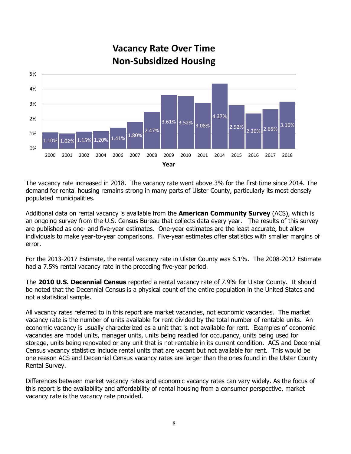

**Vacancy Rate Over Time Non-Subsidized Housing**

The vacancy rate increased in 2018. The vacancy rate went above 3% for the first time since 2014. The demand for rental housing remains strong in many parts of Ulster County, particularly its most densely populated municipalities.

Additional data on rental vacancy is available from the **American Community Survey** (ACS), which is an ongoing survey from the U.S. Census Bureau that collects data every year. The results of this survey are published as one- and five-year estimates. One-year estimates are the least accurate, but allow individuals to make year-to-year comparisons. Five-year estimates offer statistics with smaller margins of error.

For the 2013-2017 Estimate, the rental vacancy rate in Ulster County was 6.1%. The 2008-2012 Estimate had a 7.5% rental vacancy rate in the preceding five-year period.

The **2010 U.S. Decennial Census** reported a rental vacancy rate of 7.9% for Ulster County. It should be noted that the Decennial Census is a physical count of the entire population in the United States and not a statistical sample.

All vacancy rates referred to in this report are market vacancies, not economic vacancies. The market vacancy rate is the number of units available for rent divided by the total number of rentable units. An economic vacancy is usually characterized as a unit that is not available for rent. Examples of economic vacancies are model units, manager units, units being readied for occupancy, units being used for storage, units being renovated or any unit that is not rentable in its current condition. ACS and Decennial Census vacancy statistics include rental units that are vacant but not available for rent. This would be one reason ACS and Decennial Census vacancy rates are larger than the ones found in the Ulster County Rental Survey.

Differences between market vacancy rates and economic vacancy rates can vary widely. As the focus of this report is the availability and affordability of rental housing from a consumer perspective, market vacancy rate is the vacancy rate provided.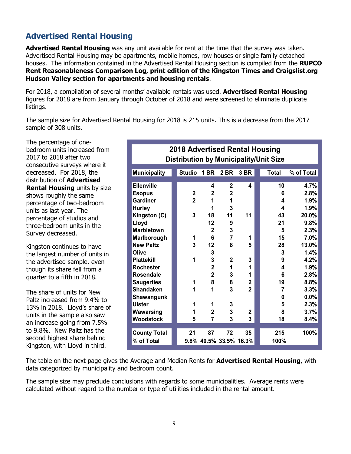# **Advertised Rental Housing**

**Advertised Rental Housing** was any unit available for rent at the time that the survey was taken. Advertised Rental Housing may be apartments, mobile homes, row houses or single family detached houses. The information contained in the Advertised Rental Housing section is compiled from the **RUPCO Rent Reasonableness Comparison Log, print edition of the Kingston Times and Craigslist.org Hudson Valley section for apartments and housing rentals**.

For 2018, a compilation of several months' available rentals was used. **Advertised Rental Housing**  figures for 2018 are from January through October of 2018 and were screened to eliminate duplicate listings.

The sample size for Advertised Rental Housing for 2018 is 215 units. This is a decrease from the 2017 sample of 308 units.

The percentage of onebedroom units increased from 2017 to 2018 after two consecutive surveys where it decreased. For 2018, the distribution of **Advertised Rental Housing** units by size shows roughly the same percentage of two-bedroom units as last year. The percentage of studios and three-bedroom units in the Survey decreased.

Kingston continues to have the largest number of units in the advertised sample, even though its share fell from a quarter to a fifth in 2018.

The share of units for New Paltz increased from 9.4% to 13% in 2018. Lloyd's share of units in the sample also saw an increase going from 7.5% to 9.8%. New Paltz has the second highest share behind Kingston, with Lloyd in third.

| 2018 Advertised Rental Housing<br><b>Distribution by Municipality/Unit Size</b> |  |                |                         |                        |                |  |              |            |  |  |
|---------------------------------------------------------------------------------|--|----------------|-------------------------|------------------------|----------------|--|--------------|------------|--|--|
| <b>Municipality</b>                                                             |  | <b>Studio</b>  | <b>1 BR</b>             | 2 BR                   | 3 BR           |  | <b>Total</b> | % of Total |  |  |
| <b>Ellenville</b>                                                               |  |                | 4                       | $\mathbf 2$            | 4              |  | 10           | 4.7%       |  |  |
| <b>Esopus</b>                                                                   |  | $\overline{2}$ | $\mathbf 2$             | $\overline{2}$         |                |  | 6            | 2.8%       |  |  |
| <b>Gardiner</b>                                                                 |  | $\overline{2}$ | 1                       | 1                      |                |  | 4            | 1.9%       |  |  |
| <b>Hurley</b>                                                                   |  |                | 1                       | 3                      |                |  | 4            | 1.9%       |  |  |
| Kingston (C)                                                                    |  | 3              | 18                      | 11                     | 11             |  | 43           | 20.0%      |  |  |
| Lloyd                                                                           |  |                | 12                      | 9                      |                |  | 21           | 9.8%       |  |  |
| <b>Marbletown</b>                                                               |  |                | $\overline{2}$          | 3                      |                |  | 5            | 2.3%       |  |  |
| Marlborough                                                                     |  | 1              | 6                       | 7                      | 1              |  | 15           | 7.0%       |  |  |
| <b>New Paltz</b>                                                                |  | 3              | 12                      | 8                      | 5              |  | 28           | 13.0%      |  |  |
| Olive                                                                           |  |                | 3                       |                        |                |  | 3            | 1.4%       |  |  |
| <b>Plattekill</b>                                                               |  | 1              | 3                       | $\overline{2}$         | 3              |  | 9            | 4.2%       |  |  |
| <b>Rochester</b>                                                                |  |                | $\overline{\mathbf{2}}$ | 1                      | 1              |  | 4            | 1.9%       |  |  |
| Rosendale                                                                       |  |                | $\overline{2}$          | 3                      | 1              |  | 6            | 2.8%       |  |  |
| <b>Saugerties</b>                                                               |  | 1              | 8                       | 8                      | $\mathbf 2$    |  | 19           | 8.8%       |  |  |
| <b>Shandaken</b>                                                                |  | 1              | 1                       | 3                      | $\overline{2}$ |  | 7            | 3.3%       |  |  |
| Shawangunk                                                                      |  |                |                         |                        |                |  | 0            | 0.0%       |  |  |
| <b>Ulster</b>                                                                   |  | 1              | 1                       | 3                      |                |  | 5            | 2.3%       |  |  |
| Wawarsing                                                                       |  | 1              | $\overline{2}$          | 3                      | $\mathbf{2}$   |  | 8            | 3.7%       |  |  |
| <b>Woodstock</b>                                                                |  | 5              | 7                       | 3                      | 3              |  | 18           | 8.4%       |  |  |
|                                                                                 |  |                |                         |                        |                |  |              |            |  |  |
| <b>County Total</b>                                                             |  | 21             | 87                      | 72                     | 35             |  | 215          | 100%       |  |  |
| % of Total                                                                      |  |                |                         | 9.8% 40.5% 33.5% 16.3% |                |  | 100%         |            |  |  |

The table on the next page gives the Average and Median Rents for **Advertised Rental Housing**, with data categorized by municipality and bedroom count.

The sample size may preclude conclusions with regards to some municipalities. Average rents were calculated without regard to the number or type of utilities included in the rental amount.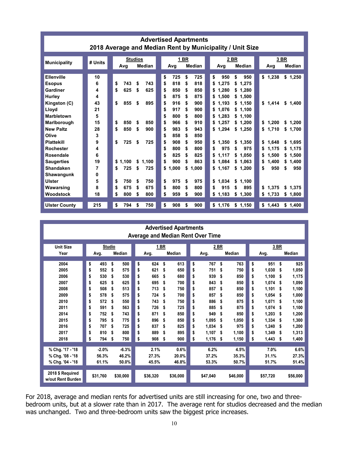| <b>Advertised Apartments</b><br>2018 Average and Median Rent by Municipality / Unit Size                                                                                                                                                                                               |                                                                                              |                                                                                                                                                                                                                                                                  |                                                                                                                                                                                                                                                                                                                                                                                                                                                                                                                                                 |                                                                                                                                                                                                                                                                                                                                            |                                                                                                                                                                                                                                                          |  |  |  |  |  |  |
|----------------------------------------------------------------------------------------------------------------------------------------------------------------------------------------------------------------------------------------------------------------------------------------|----------------------------------------------------------------------------------------------|------------------------------------------------------------------------------------------------------------------------------------------------------------------------------------------------------------------------------------------------------------------|-------------------------------------------------------------------------------------------------------------------------------------------------------------------------------------------------------------------------------------------------------------------------------------------------------------------------------------------------------------------------------------------------------------------------------------------------------------------------------------------------------------------------------------------------|--------------------------------------------------------------------------------------------------------------------------------------------------------------------------------------------------------------------------------------------------------------------------------------------------------------------------------------------|----------------------------------------------------------------------------------------------------------------------------------------------------------------------------------------------------------------------------------------------------------|--|--|--|--|--|--|
| <b>Municipality</b>                                                                                                                                                                                                                                                                    | # Units                                                                                      | <b>Studios</b><br>Median<br>Avg                                                                                                                                                                                                                                  | 1 BR<br>Median<br>Avg                                                                                                                                                                                                                                                                                                                                                                                                                                                                                                                           | 2 BR<br>Median<br>Avg                                                                                                                                                                                                                                                                                                                      | 3 BR<br>Median<br>Avg                                                                                                                                                                                                                                    |  |  |  |  |  |  |
| Ellenville<br><b>Esopus</b><br>Gardiner<br>Hurley<br>Kingston (C)<br>Lloyd<br><b>Marbletown</b><br>Marlborough<br><b>New Paltz</b><br>Olive<br><b>Plattekill</b><br><b>Rochester</b><br><b>Rosendale</b><br><b>Saugerties</b><br>Shandaken<br>Shawangunk<br><b>Ulster</b><br>Wawarsing | 10<br>6<br>4<br>4<br>43<br>21<br>5<br>15<br>28<br>3<br>9<br>4<br>6<br>19<br>7<br>0<br>5<br>8 | 743<br>\$<br>743<br>\$<br>\$<br>625<br>\$<br>625<br>\$<br>855<br>895<br>\$<br>\$<br>850<br>850<br>\$<br>\$<br>850<br>\$<br>900<br>\$<br>725<br>\$<br>725<br>\$1.100<br>\$<br>1.100<br>725<br>\$<br>725<br>\$<br>750<br>\$<br>750<br>\$<br>\$<br>675<br>675<br>\$ | \$<br>725<br>\$<br>725<br>\$<br>818<br>818<br>\$<br>\$<br>\$<br>850<br>850<br>\$<br>\$<br>\$<br>875<br>875<br>\$<br>S<br>\$<br>\$<br>916<br>\$<br>900<br>S.<br>917<br>900<br>\$<br>\$<br>\$<br>800<br>800<br>\$<br>\$<br>\$<br>\$<br>966<br>\$<br>910<br>\$<br>983<br>943<br>\$<br>\$<br>\$<br>858<br>850<br>\$<br>\$<br>\$<br>908<br>950<br>\$<br>\$<br>\$<br>800<br>\$<br>800<br>\$<br>\$<br>825<br>825<br>\$<br>\$<br>\$<br>900<br>863<br>\$<br>\$<br>\$1,000<br>\$<br>1,000<br>\$<br>975<br>\$<br>975<br>\$<br>\$<br>800<br>\$<br>800<br>\$ | \$<br>950<br>950<br>1.275<br>\$1,275<br>1.280<br>\$1,280<br>1,500<br>\$1,500<br>1,193<br>\$1,150<br>1.076<br>\$1,100<br>1,283<br>\$1,100<br>1,257<br>\$1.200<br>1,294<br>\$1.250<br>1.350<br>\$1.350<br>975<br>975<br>\$<br>1.117<br>\$<br>1.050<br>1.084<br>\$<br>1,063<br>\$1,167<br>\$1,200<br>1.034<br>\$<br>1.100<br>915<br>\$<br>895 | \$1,238<br>\$1,250<br>\$1.414<br>\$1,400<br>1,200<br>\$<br>\$1,200<br>\$1,710<br>\$1,700<br>1.648<br>\$1.695<br>\$<br>1,175<br>\$1,175<br>\$<br>1.500<br>1.500<br>\$<br>\$<br>\$<br>1,400<br>\$<br>1,400<br>950<br>\$<br>950<br>\$<br>\$1,375<br>\$1,375 |  |  |  |  |  |  |
| Woodstock<br><b>Ulster County</b>                                                                                                                                                                                                                                                      | 18<br>215                                                                                    | \$<br>800<br>\$<br>800<br>\$<br>794<br>750<br>\$                                                                                                                                                                                                                 | \$<br>959<br>\$<br>900<br>\$<br>\$<br>908<br>\$<br>900                                                                                                                                                                                                                                                                                                                                                                                                                                                                                          | 1,183<br>\$<br>1,300<br>\$1,176<br>\$1,150                                                                                                                                                                                                                                                                                                 | \$<br>1,733<br>\$<br>1,800<br>\$1,443<br>\$1,400                                                                                                                                                                                                         |  |  |  |  |  |  |

| <b>Advertised Apartments</b><br><b>Average and Median Rent Over Time</b> |           |               |    |          |    |               |    |          |    |          |             |       |      |               |
|--------------------------------------------------------------------------|-----------|---------------|----|----------|----|---------------|----|----------|----|----------|-------------|-------|------|---------------|
| <b>Unit Size</b>                                                         |           | <b>Studio</b> |    | 1 BR     |    |               |    | 2 BR     |    |          |             |       | 3 BR |               |
| Year                                                                     | Avg.      | Median        |    | Avg.     |    | <b>Median</b> |    | Avg.     |    | Median   | Avg.        |       |      | <b>Median</b> |
| 2004                                                                     | \$<br>493 | \$<br>500     | \$ | 624      | \$ | 613           | \$ | 767      | \$ | 763      | \$          | 951   | \$   | 925           |
| 2005                                                                     | \$<br>552 | 575<br>\$     | \$ | 621      | \$ | 650           | \$ | 751      | \$ | 750      | \$<br>1.030 |       | \$   | 1,050         |
| 2006                                                                     | \$<br>530 | 530<br>\$     | \$ | 665      | \$ | 680           | \$ | 939      | \$ | 850      | \$<br>1.100 |       | \$   | 1,175         |
| 2007                                                                     | \$<br>625 | \$<br>625     | \$ | 695      | \$ | 700           | \$ | 843      | \$ | 850      | \$<br>1.074 |       | \$   | 1,090         |
| 2008                                                                     | \$<br>508 | 513<br>\$     | \$ | 713      | \$ | 750           | \$ | 857      | \$ | 850      | \$<br>1,101 |       | \$   | 1,100         |
| 2009                                                                     | \$<br>578 | 575<br>\$     | \$ | 724      | \$ | 700           | \$ | 857      | \$ | 850      | \$<br>1.054 |       | \$   | 1,000         |
| 2010                                                                     | \$<br>572 | 550<br>\$     | \$ | 743      | \$ | 750           | \$ | 886      | \$ | 875      | \$<br>1,071 |       | \$   | 1,100         |
| 2011                                                                     | \$<br>591 | 563<br>\$     | \$ | 726      | \$ | 725           | \$ | 885      | \$ | 875      | \$<br>1.074 |       | \$   | 1,100         |
| 2014                                                                     | \$<br>752 | 743<br>\$     | \$ | 871      | \$ | 850           | \$ | 949      | \$ | 850      | \$<br>1.203 |       | \$   | 1,200         |
| 2015                                                                     | \$<br>795 | 775<br>\$     | \$ | 896      | \$ | 850           | \$ | 1.095    | \$ | 1.050    | \$<br>1,334 |       | \$   | 1,300         |
| 2016                                                                     | \$<br>707 | \$<br>725     | \$ | 837      | \$ | 825           | \$ | 1.034    | \$ | 975      | \$<br>1,240 |       | \$   | 1,200         |
| 2017                                                                     | \$<br>810 | 800<br>\$     | \$ | 889      | \$ | 895           | \$ | 1,107    | Ŝ. | 1,100    | \$<br>1,349 |       | \$   | 1,313         |
| 2018                                                                     | \$<br>794 | \$<br>750     | \$ | 908      | \$ | 900           | \$ | 1,176    | \$ | 1,150    | \$<br>1,443 |       | \$   | 1,400         |
|                                                                          |           |               |    |          |    |               |    |          |    |          |             |       |      |               |
| % Chg. '17 - '18                                                         | $-2.0%$   | $-6.3%$       |    | 2.1%     |    | 0.6%          |    | 6.2%     |    | 4.5%     |             | 7.0%  |      | 6.6%          |
| % Chg. '08 - '18                                                         | 56.3%     | 46.2%         |    | 27.3%    |    | 20.0%         |    | 37.2%    |    | 35.3%    |             | 31.1% |      | 27.3%         |
| % Chg. '04 - '18                                                         | 61.1%     | 50.0%         |    | 45.5%    |    | 46.8%         |    | 53.3%    |    | 50.7%    |             | 51.7% |      | 51.4%         |
| 2018 \$ Required<br>w/out Rent Burden                                    | \$31.760  | \$30,000      |    | \$36.320 |    | \$36,000      |    | \$47,040 |    | \$46,000 | \$57,720    |       |      | \$56,000      |

For 2018, average and median rents for advertised units are still increasing for one, two and threebedroom units, but at a slower rate than in 2017. The average rent for studios decreased and the median was unchanged. Two and three-bedroom units saw the biggest price increases.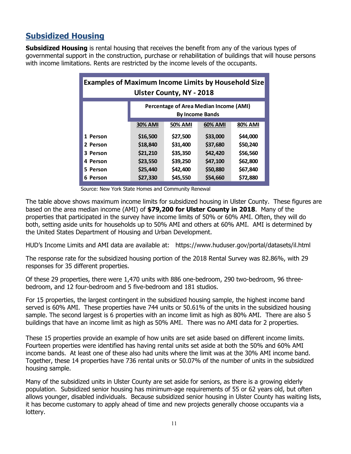# **Subsidized Housing**

**Subsidized Housing** is rental housing that receives the benefit from any of the various types of governmental support in the construction, purchase or rehabilitation of buildings that will house persons with income limitations. Rents are restricted by the income levels of the occupants.

| <b>Examples of Maximum Income Limits by Household Size</b><br><b>Ulster County, NY - 2018</b> |                                                        |          |          |          |  |  |  |  |  |
|-----------------------------------------------------------------------------------------------|--------------------------------------------------------|----------|----------|----------|--|--|--|--|--|
| Percentage of Area Median Income (AMI)<br><b>By Income Bands</b>                              |                                                        |          |          |          |  |  |  |  |  |
|                                                                                               | <b>30% AMI</b><br><b>50% AMI</b><br>60% AMI<br>80% AMI |          |          |          |  |  |  |  |  |
| 1 Person                                                                                      | \$16,500                                               | \$27,500 | \$33,000 | \$44,000 |  |  |  |  |  |
| 2 Person                                                                                      | \$18,840                                               | \$31,400 | \$37,680 | \$50,240 |  |  |  |  |  |
| 3 Person                                                                                      | \$21,210<br>\$35,350<br>\$42,420<br>\$56,560           |          |          |          |  |  |  |  |  |
| 4 Person                                                                                      | \$23,550<br>\$39,250<br>\$47,100<br>\$62,800           |          |          |          |  |  |  |  |  |
| 5 Person                                                                                      | \$25,440<br>\$42,400<br>\$50,880<br>\$67,840           |          |          |          |  |  |  |  |  |
| Person<br>6                                                                                   | \$27,330                                               | \$45,550 | \$54,660 | \$72,880 |  |  |  |  |  |

Source: New York State Homes and Community Renewal

The table above shows maximum income limits for subsidized housing in Ulster County. These figures are based on the area median income (AMI) of **\$79,200 for Ulster County in 2018**. Many of the properties that participated in the survey have income limits of 50% or 60% AMI. Often, they will do both, setting aside units for households up to 50% AMI and others at 60% AMI. AMI is determined by the United States Department of Housing and Urban Development.

HUD's Income Limits and AMI data are available at: https://www.huduser.gov/portal/datasets/il.html

The response rate for the subsidized housing portion of the 2018 Rental Survey was 82.86%, with 29 responses for 35 different properties.

Of these 29 properties, there were 1,470 units with 886 one-bedroom, 290 two-bedroom, 96 threebedroom, and 12 four-bedroom and 5 five-bedroom and 181 studios.

For 15 properties, the largest contingent in the subsidized housing sample, the highest income band served is 60% AMI. These properties have 744 units or 50.61% of the units in the subsidized housing sample. The second largest is 6 properties with an income limit as high as 80% AMI. There are also 5 buildings that have an income limit as high as 50% AMI. There was no AMI data for 2 properties.

These 15 properties provide an example of how units are set aside based on different income limits. Fourteen properties were identified has having rental units set aside at both the 50% and 60% AMI income bands. At least one of these also had units where the limit was at the 30% AMI income band. Together, these 14 properties have 736 rental units or 50.07% of the number of units in the subsidized housing sample.

Many of the subsidized units in Ulster County are set aside for seniors, as there is a growing elderly population. Subsidized senior housing has minimum-age requirements of 55 or 62 years old, but often allows younger, disabled individuals. Because subsidized senior housing in Ulster County has waiting lists, it has become customary to apply ahead of time and new projects generally choose occupants via a lottery.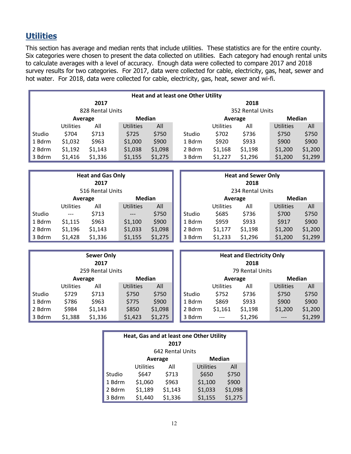## **Utilities**

This section has average and median rents that include utilities. These statistics are for the entire county. Six categories were chosen to present the data collected on utilities. Each category had enough rental units to calculate averages with a level of accuracy. Enough data were collected to compare 2017 and 2018 survey results for two categories. For 2017, data were collected for cable, electricity, gas, heat, sewer and hot water. For 2018, data were collected for cable, electricity, gas, heat, sewer and wi-fi.

| <b>Heat and at least one Other Utility</b> |                          |         |                  |         |        |           |                  |                  |         |  |  |
|--------------------------------------------|--------------------------|---------|------------------|---------|--------|-----------|------------------|------------------|---------|--|--|
| 2017                                       |                          |         |                  |         |        |           | 2018             |                  |         |  |  |
| 828 Rental Units                           |                          |         |                  |         |        |           | 352 Rental Units |                  |         |  |  |
|                                            | <b>Median</b><br>Average |         |                  |         |        | Average   |                  | Median           |         |  |  |
|                                            | <b>Utilities</b>         | All     | <b>Utilities</b> | All     |        | Utilities | All              | <b>Utilities</b> | All     |  |  |
| Studio                                     | \$704                    | \$713   | \$725            | \$750   | Studio | \$702     | \$736            | \$750            | \$750   |  |  |
| 1 Bdrm                                     | \$1,032                  | \$963   | \$1,000          | \$900   | 1 Bdrm | \$920     | \$933            | \$900            | \$900   |  |  |
| 2 Bdrm                                     | \$1,192                  | \$1,143 | \$1,038          | \$1,098 | 2 Bdrm | \$1,168   | \$1,198          | \$1,200          | \$1,200 |  |  |
| 3 Bdrm                                     | \$1,416                  | \$1,336 | \$1,155          | \$1,275 | 3 Bdrm | \$1,227   | \$1,296          | \$1,200          | \$1,299 |  |  |

| <b>Heat and Gas Only</b><br>2017<br>516 Rental Units |                          |         |                  |         |  |        |                  | <b>Heat and Sewer Only</b><br>2018<br>234 Rental Units |                  |         |
|------------------------------------------------------|--------------------------|---------|------------------|---------|--|--------|------------------|--------------------------------------------------------|------------------|---------|
|                                                      | <b>Median</b><br>Average |         |                  |         |  |        | Average          |                                                        | <b>Median</b>    |         |
|                                                      | <b>Utilities</b>         | All     | <b>Utilities</b> | All     |  |        | <b>Utilities</b> | All                                                    | <b>Utilities</b> | All     |
| Studio                                               | $---$                    | \$713   | ---              | \$750   |  | Studio | \$685            | \$736                                                  | \$700            | \$750   |
| 1 Bdrm                                               | \$1,115                  | \$963   | \$1,100          | \$900   |  | 1 Bdrm | \$959            | \$933                                                  | \$917            | \$900   |
| 2 Bdrm                                               | \$1,196                  | \$1,143 | \$1,033          | \$1,098 |  | 2 Bdrm | \$1,177          | \$1,198                                                | \$1,200          | \$1,200 |
| 3 Bdrm                                               | \$1,428                  | \$1,336 | \$1,155          | \$1,275 |  | 3 Bdrm | \$1,233          | \$1,296                                                | \$1,200          | \$1,299 |

| <b>Sewer Only</b><br>2017<br>259 Rental Units |                  |         |                  |         |  |               |                  | <b>Heat and Electricity Only</b><br>2018<br>79 Rental Units |                  |         |
|-----------------------------------------------|------------------|---------|------------------|---------|--|---------------|------------------|-------------------------------------------------------------|------------------|---------|
|                                               | Average          |         | <b>Median</b>    |         |  | Average       |                  |                                                             | <b>Median</b>    |         |
|                                               | <b>Utilities</b> | All     | <b>Utilities</b> | All     |  |               | <b>Utilities</b> | All                                                         | <b>Utilities</b> | All     |
| Studio                                        | \$729            | \$713   | \$750            | \$750   |  | <b>Studio</b> | \$752            | \$736                                                       | \$750            | \$750   |
| 1 Bdrm                                        | \$786            | \$963   | \$775            | \$900   |  | 1 Bdrm        | \$869            | \$933                                                       | \$900            | \$900   |
| 2 Bdrm                                        | \$984            | \$1,143 | \$850            | \$1,098 |  | 2 Bdrm        | \$1,161          | \$1,198                                                     | \$1,200          | \$1,200 |
| 3 Bdrm                                        | \$1,388          | \$1,336 | \$1,423          | \$1,275 |  | 3 Bdrm        | $---$            | \$1,296                                                     | $---$            | \$1,299 |

| Heat, Gas and at least one Other Utility<br>2017 |                          |         |                  |         |  |  |  |  |  |  |
|--------------------------------------------------|--------------------------|---------|------------------|---------|--|--|--|--|--|--|
|                                                  | 642 Rental Units         |         |                  |         |  |  |  |  |  |  |
|                                                  | <b>Median</b><br>Average |         |                  |         |  |  |  |  |  |  |
|                                                  | <b>Utilities</b>         | All     | <b>Utilities</b> | All     |  |  |  |  |  |  |
| Studio                                           | \$647                    | \$713   | \$650            | \$750   |  |  |  |  |  |  |
| 1 Bdrm                                           | \$1,060                  | \$963   | \$1,100          | \$900   |  |  |  |  |  |  |
| 2 Bdrm                                           | \$1,189                  | \$1,143 | \$1,033          | \$1,098 |  |  |  |  |  |  |
| 3 Bdrm                                           | \$1,440                  | \$1,336 | \$1,155          | \$1,275 |  |  |  |  |  |  |